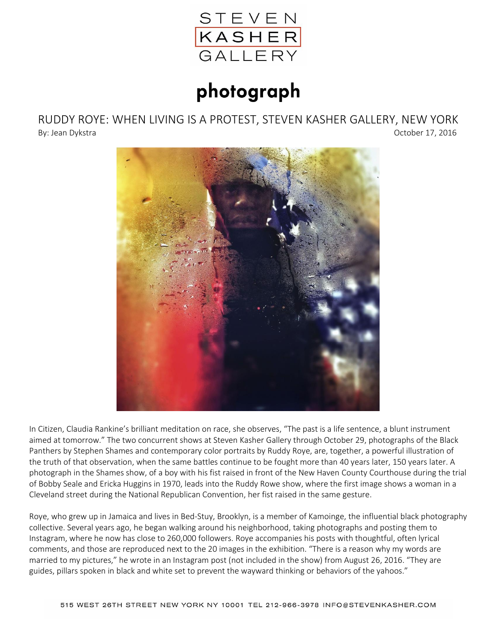

## photograph

RUDDY ROYE: WHEN LIVING IS A PROTEST, STEVEN KASHER GALLERY, NEW YORK By: Jean Dykstra **October 17, 2016** 



In Citizen, Claudia Rankine's brilliant meditation on race, she observes, "The past is a life sentence, a blunt instrument aimed at tomorrow." The two concurrent shows at Steven Kasher Gallery through October 29, photographs of the Black Panthers by Stephen Shames and contemporary color portraits by Ruddy Roye, are, together, a powerful illustration of the truth of that observation, when the same battles continue to be fought more than 40 years later, 150 years later. A photograph in the Shames show, of a boy with his fist raised in front of the New Haven County Courthouse during the trial of Bobby Seale and Ericka Huggins in 1970, leads into the Ruddy Rowe show, where the first image shows a woman in a Cleveland street during the National Republican Convention, her fist raised in the same gesture.

Roye, who grew up in Jamaica and lives in Bed-Stuy, Brooklyn, is a member of Kamoinge, the influential black photography collective. Several years ago, he began walking around his neighborhood, taking photographs and posting them to Instagram, where he now has close to 260,000 followers. Roye accompanies his posts with thoughtful, often lyrical comments, and those are reproduced next to the 20 images in the exhibition. "There is a reason why my words are married to my pictures," he wrote in an Instagram post (not included in the show) from August 26, 2016. "They are guides, pillars spoken in black and white set to prevent the wayward thinking or behaviors of the yahoos."